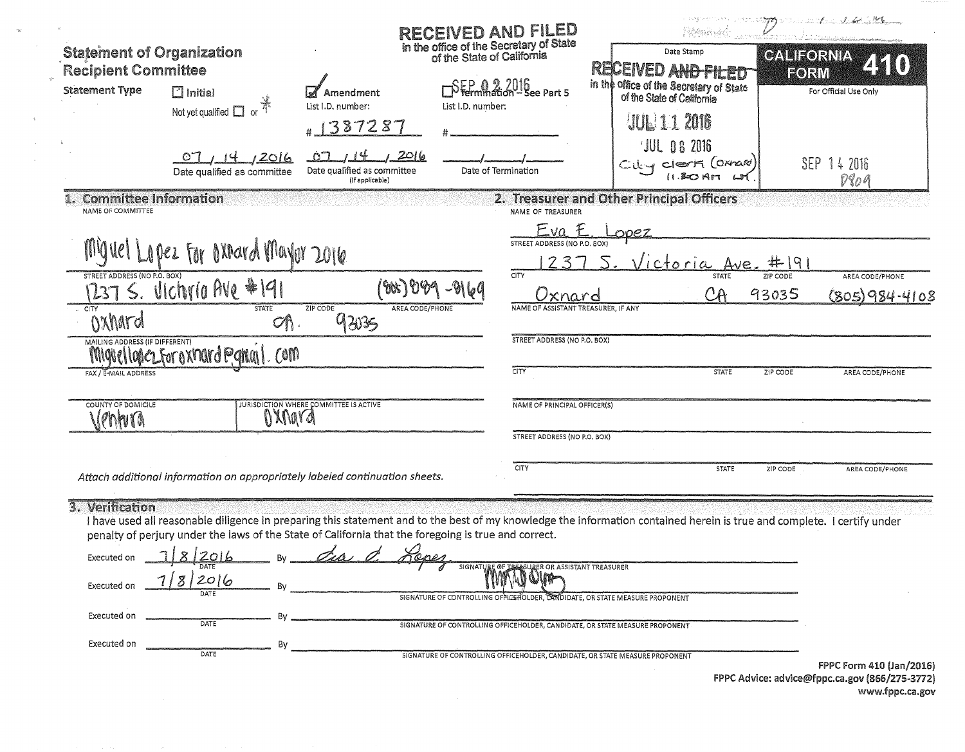| <b>Statement of Organization</b><br><b>Recipient Committee</b><br><b>Statement Type</b><br>$\Box$ Initial<br>Not yet qualified $\Box$ or<br>07,14,2016<br>Date qualified as committee                                                                                                                                                    | Amendment<br>List I.D. number:<br>List I.D. number:<br>41387287<br>2016<br>14<br>Date qualified as committee<br>(If applicable) | RECEIVED AND FILED<br>in the office of the Secretary of State<br>of the State of California<br>Date of Termination                                             | Peturian<br>Date Stamp<br>RECEIVED AND FILED<br>in the office of the Secretary of State<br>of the State of California<br><b>JUL 11 2016</b><br><b>JUL 06 2016</b><br>$C_i \cup C_j$ clerk (ornard)<br>$1.20$ Art | CALIFORNIA<br>FORM | and the state of the state of the state of the state of the state of the state of the state of the state of the<br>For Official Use Only<br>SEP 14 2016<br>0809 |
|------------------------------------------------------------------------------------------------------------------------------------------------------------------------------------------------------------------------------------------------------------------------------------------------------------------------------------------|---------------------------------------------------------------------------------------------------------------------------------|----------------------------------------------------------------------------------------------------------------------------------------------------------------|------------------------------------------------------------------------------------------------------------------------------------------------------------------------------------------------------------------|--------------------|-----------------------------------------------------------------------------------------------------------------------------------------------------------------|
| <b>Committee Information</b><br>NAME OF COMMITTEE                                                                                                                                                                                                                                                                                        |                                                                                                                                 | NAME OF TREASURER                                                                                                                                              | 2. Treasurer and Other Principal Officers                                                                                                                                                                        |                    |                                                                                                                                                                 |
| Miguel Lopez For oxnard Mayor 2016<br><b>STREET ADDRESS (NO P.O. BOX)</b>                                                                                                                                                                                                                                                                |                                                                                                                                 | Eva<br>STREET ADDRESS (NO P.O. BOX)<br>CITY                                                                                                                    | ODEZ<br><u>Victoria Ave.</u><br><b>STATE</b>                                                                                                                                                                     | #19<br>ZIP CODE    | AREA CODE/PHONE                                                                                                                                                 |
| 1237 S. Vichria Ave #191                                                                                                                                                                                                                                                                                                                 |                                                                                                                                 | Oxnard                                                                                                                                                         | CA                                                                                                                                                                                                               | 93035              | $(805)984 - 4108$                                                                                                                                               |
| <b>STATE</b><br>CITY<br>Oxhard<br>O(1)                                                                                                                                                                                                                                                                                                   | ZIP CODE<br><b>AREA CODE/PHONE</b><br>93035                                                                                     | NAME OF ASSISTANT TREASURER, IF ANY                                                                                                                            |                                                                                                                                                                                                                  |                    |                                                                                                                                                                 |
| MAILING ADDRESS (IF DIFFERENT)<br>Miguellopez.Foroxnard@ghall.com                                                                                                                                                                                                                                                                        |                                                                                                                                 | <b>STREET ADDRESS (NO P.O. BOX)</b>                                                                                                                            |                                                                                                                                                                                                                  |                    |                                                                                                                                                                 |
| FAX / E-MAIL ADDRESS                                                                                                                                                                                                                                                                                                                     |                                                                                                                                 | CITY                                                                                                                                                           | <b>STATE</b>                                                                                                                                                                                                     | ZIP CODE           | AREA CODE/PHONE                                                                                                                                                 |
| COUNTY OF DOMICILE<br>Mara<br>Ventura                                                                                                                                                                                                                                                                                                    | JURISDICTION WHERE COMMITTEE IS ACTIVE                                                                                          | NAME OF PRINCIPAL OFFICER(S)<br>STREET ADDRESS (NO P.O. BOX)                                                                                                   |                                                                                                                                                                                                                  |                    |                                                                                                                                                                 |
| Attach additional information on appropriately labeled continuation sheets.                                                                                                                                                                                                                                                              |                                                                                                                                 | <b>CITY</b>                                                                                                                                                    | <b>STATE</b>                                                                                                                                                                                                     | ZIP CODE           | AREA CODE/PHONE                                                                                                                                                 |
| 3. Verification<br>I have used all reasonable diligence in preparing this statement and to the best of my knowledge the information contained herein is true and complete. I certify under<br>penalty of perjury under the laws of the State of California that the foregoing is true and correct.<br>Executed on<br>2016<br>Executed on | ones<br>SIGNAT                                                                                                                  | ER OR ASSISTANT TREASURER                                                                                                                                      |                                                                                                                                                                                                                  |                    |                                                                                                                                                                 |
| Executed on<br>DATE                                                                                                                                                                                                                                                                                                                      |                                                                                                                                 | SIGNATURE OF CONTROLLING OF FICE HOLDER, CANDIDATE, OR STATE MEASURE PROPONENT<br>SIGNATURE OF CONTROLLING OFFICEHOLDER, CANDIDATE, OR STATE MEASURE PROPONENT |                                                                                                                                                                                                                  |                    |                                                                                                                                                                 |
| Executed on<br>Βv<br>DATE                                                                                                                                                                                                                                                                                                                |                                                                                                                                 | SIGNATURE OF CONTROLLING OFFICEHOLDER, CANDIDATE, OR STATE MEASURE PROPONENT                                                                                   |                                                                                                                                                                                                                  |                    | FPPC Form 410 (Jan/2016)                                                                                                                                        |

 $\langle \cdot \rangle_{\rm{N}}$ 

 $\mathcal{H}$ 

 $\sim$   $\sim$  $\sim$ 

> FPPC Advice: advice@fppc.ca.gov (866/275-3772) www.fppc.ca.gov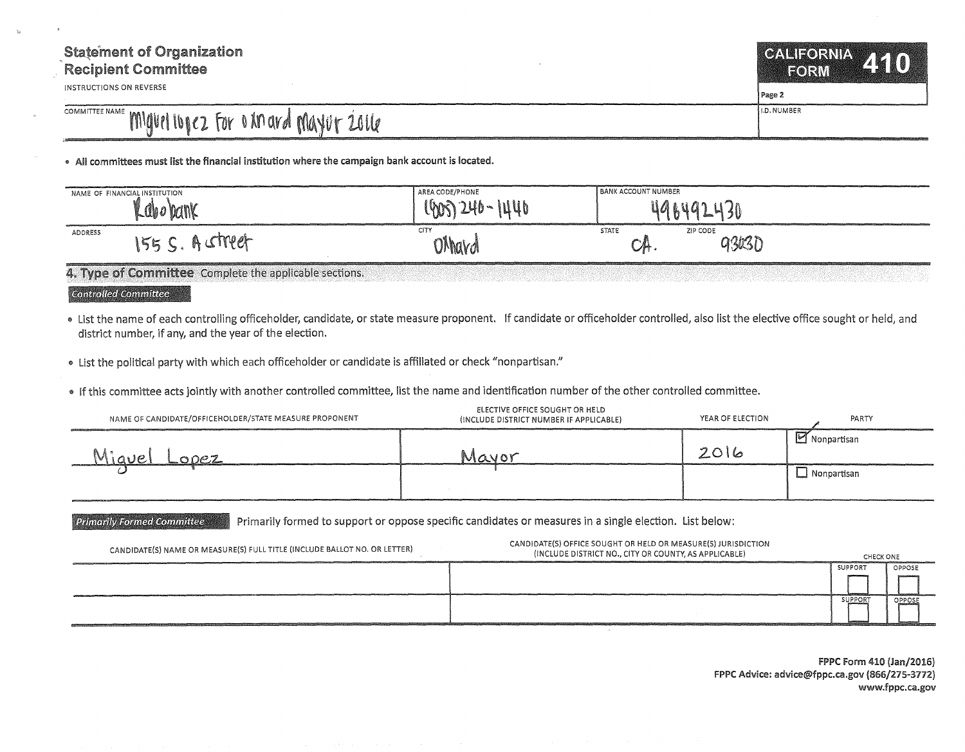## **Statement of Organization Recipient Committee**

**INSTRUCTIONS ON REVERSE** 

## COMMITTEE NAME MIGUPI 100C2 FOR 0 AM and Mayur 2016

. All committees must list the financial institution where the campaign bank account is located.

| NAME OF FINANCIAL INSTITUTION  | AREA CODE/PHONE        | <b>BANK ACCOUNT NUMBER</b>          |
|--------------------------------|------------------------|-------------------------------------|
| rille a Variabl<br>rui         | 10n <sup>2</sup><br>w. |                                     |
| ADDRESS<br>.treet<br>155C<br>瓜 | CITY<br>JMavd          | STATE<br>ZIP CODE<br>93030<br>كحكمك |

4. Type of Committee Complete the applicable sections.

**Controlled Committee** 

• List the name of each controlling officeholder, candidate, or state measure proponent. If candidate or officeholder controlled, also list the elective office sought or held, and district number, if any, and the year of the election.

• List the political party with which each officeholder or candidate is affiliated or check "nonpartisan."

• If this committee acts jointly with another controlled committee, list the name and identification number of the other controlled committee.

| NAME OF CANDIDATE/OFFICEHOLDER/STATE MEASURE PROPONENT | ELECTIVE OFFICE SOUGHT OR HELD<br>(INCLUDE DISTRICT NUMBER IF APPLICABLE) | YEAR OF ELECTION | PARTY                        |
|--------------------------------------------------------|---------------------------------------------------------------------------|------------------|------------------------------|
| $-00eZ$<br>$\iota$ $\iota$                             |                                                                           | 2016             | $\triangleright$ Nonpartisan |
|                                                        |                                                                           |                  | Nonpartisan                  |

Primarily formed to support or oppose specific candidates or measures in a single election. List below: **Primarily Formed Committee** 

| CANDIDATE(S) NAME OR MEASURE(S) FULL TITLE (INCLUDE BALLOT NO. OR LETTER) | CANDIDATE(S) OFFICE SOUGHT OR HELD OR MEASURE(S) JURISDICTION<br>(INCLUDE DISTRICT NO., CITY OR COUNTY, AS APPLICABLE) | CHECK ONE      |        |
|---------------------------------------------------------------------------|------------------------------------------------------------------------------------------------------------------------|----------------|--------|
|                                                                           |                                                                                                                        | <b>SUPPORT</b> | OPPOSE |
|                                                                           |                                                                                                                        |                |        |
|                                                                           |                                                                                                                        | JUPPORT        |        |
|                                                                           |                                                                                                                        |                |        |

FPPC Form 410 (Jan/2016) FPPC Advice: advice@fppc.ca.gov (866/275-3772) www.fppc.ca.gov

**GALIEORNA** 

EORM

Page 2

I.D. NUMBER